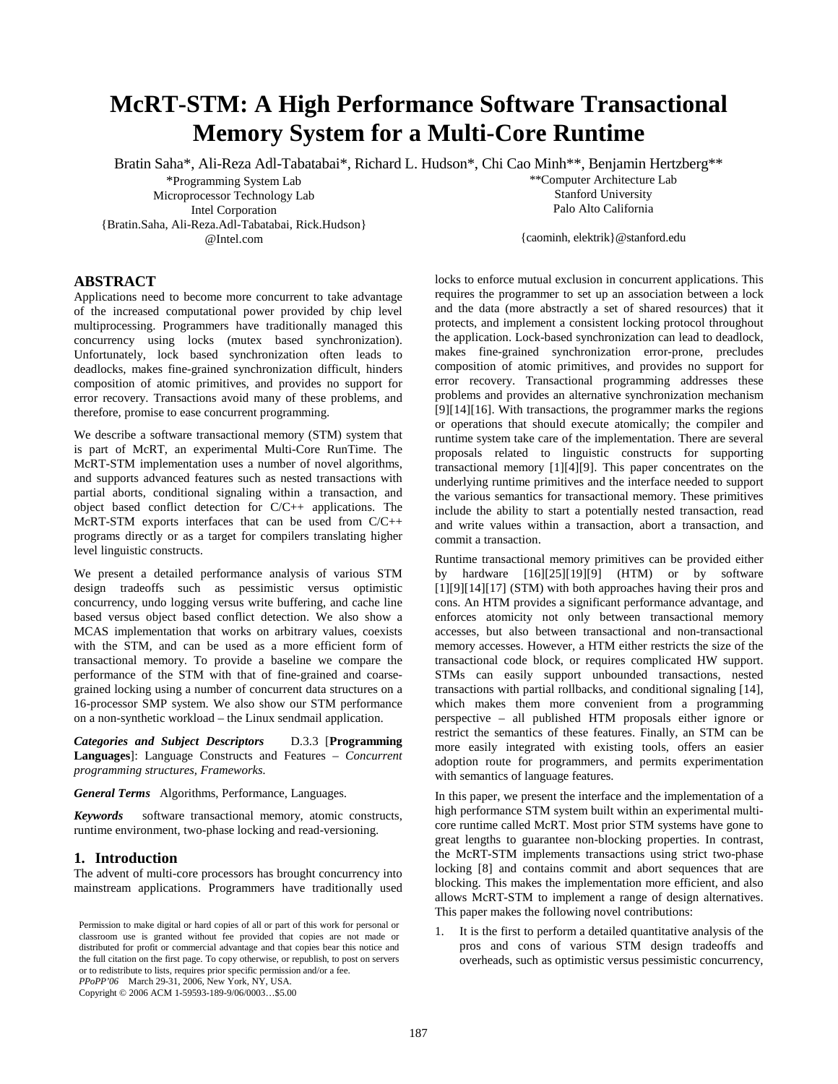# **McRT-STM: A High Performance Software Transactional Memory System for a Multi-Core Runtime**

Bratin Saha\*, Ali-Reza Adl-Tabatabai\*, Richard L. Hudson\*, Chi Cao Minh\*\*, Benjamin Hertzberg\*\*

\*Programming System Lab Microprocessor Technology Lab Intel Corporation {Bratin.Saha, Ali-Reza.Adl-Tabatabai, Rick.Hudson} @Intel.com

\*\*Computer Architecture Lab Stanford University Palo Alto California

{caominh, elektrik}@stanford.edu

# **ABSTRACT**

Applications need to become more concurrent to take advantage of the increased computational power provided by chip level multiprocessing. Programmers have traditionally managed this concurrency using locks (mutex based synchronization). Unfortunately, lock based synchronization often leads to deadlocks, makes fine-grained synchronization difficult, hinders composition of atomic primitives, and provides no support for error recovery. Transactions avoid many of these problems, and therefore, promise to ease concurrent programming.

We describe a software transactional memory (STM) system that is part of McRT, an experimental Multi-Core RunTime. The McRT-STM implementation uses a number of novel algorithms, and supports advanced features such as nested transactions with partial aborts, conditional signaling within a transaction, and object based conflict detection for C/C++ applications. The McRT-STM exports interfaces that can be used from C/C++ programs directly or as a target for compilers translating higher level linguistic constructs.

We present a detailed performance analysis of various STM design tradeoffs such as pessimistic versus optimistic concurrency, undo logging versus write buffering, and cache line based versus object based conflict detection. We also show a MCAS implementation that works on arbitrary values, coexists with the STM, and can be used as a more efficient form of transactional memory. To provide a baseline we compare the performance of the STM with that of fine-grained and coarsegrained locking using a number of concurrent data structures on a 16-processor SMP system. We also show our STM performance on a non-synthetic workload – the Linux sendmail application.

*Categories and Subject Descriptors* D.3.3 [**Programming Languages**]: Language Constructs and Features – *Concurrent programming structures, Frameworks.*

*General Terms* Algorithms, Performance, Languages.

*Keywords* software transactional memory, atomic constructs, runtime environment, two-phase locking and read-versioning.

# **1. Introduction**

The advent of multi-core processors has brought concurrency into mainstream applications. Programmers have traditionally used

Copyright © 2006 ACM 1-59593-189-9/06/0003…\$5.00

locks to enforce mutual exclusion in concurrent applications. This requires the programmer to set up an association between a lock and the data (more abstractly a set of shared resources) that it protects, and implement a consistent locking protocol throughout the application. Lock-based synchronization can lead to deadlock, makes fine-grained synchronization error-prone, precludes composition of atomic primitives, and provides no support for error recovery. Transactional programming addresses these problems and provides an alternative synchronization mechanism [9][14][16]. With transactions, the programmer marks the regions or operations that should execute atomically; the compiler and runtime system take care of the implementation. There are several proposals related to linguistic constructs for supporting transactional memory [1][4][9]. This paper concentrates on the underlying runtime primitives and the interface needed to support the various semantics for transactional memory. These primitives include the ability to start a potentially nested transaction, read and write values within a transaction, abort a transaction, and commit a transaction.

Runtime transactional memory primitives can be provided either by hardware [16][25][19][9] (HTM) or by software [1][9][14][17] (STM) with both approaches having their pros and cons. An HTM provides a significant performance advantage, and enforces atomicity not only between transactional memory accesses, but also between transactional and non-transactional memory accesses. However, a HTM either restricts the size of the transactional code block, or requires complicated HW support. STMs can easily support unbounded transactions, nested transactions with partial rollbacks, and conditional signaling [14], which makes them more convenient from a programming perspective – all published HTM proposals either ignore or restrict the semantics of these features. Finally, an STM can be more easily integrated with existing tools, offers an easier adoption route for programmers, and permits experimentation with semantics of language features.

In this paper, we present the interface and the implementation of a high performance STM system built within an experimental multicore runtime called McRT. Most prior STM systems have gone to great lengths to guarantee non-blocking properties. In contrast, the McRT-STM implements transactions using strict two-phase locking [8] and contains commit and abort sequences that are blocking. This makes the implementation more efficient, and also allows McRT-STM to implement a range of design alternatives. This paper makes the following novel contributions:

1. It is the first to perform a detailed quantitative analysis of the pros and cons of various STM design tradeoffs and overheads, such as optimistic versus pessimistic concurrency,

Permission to make digital or hard copies of all or part of this work for personal or classroom use is granted without fee provided that copies are not made or distributed for profit or commercial advantage and that copies bear this notice and the full citation on the first page. To copy otherwise, or republish, to post on servers or to redistribute to lists, requires prior specific permission and/or a fee. *PPoPP'06* March 29-31, 2006, New York, NY, USA.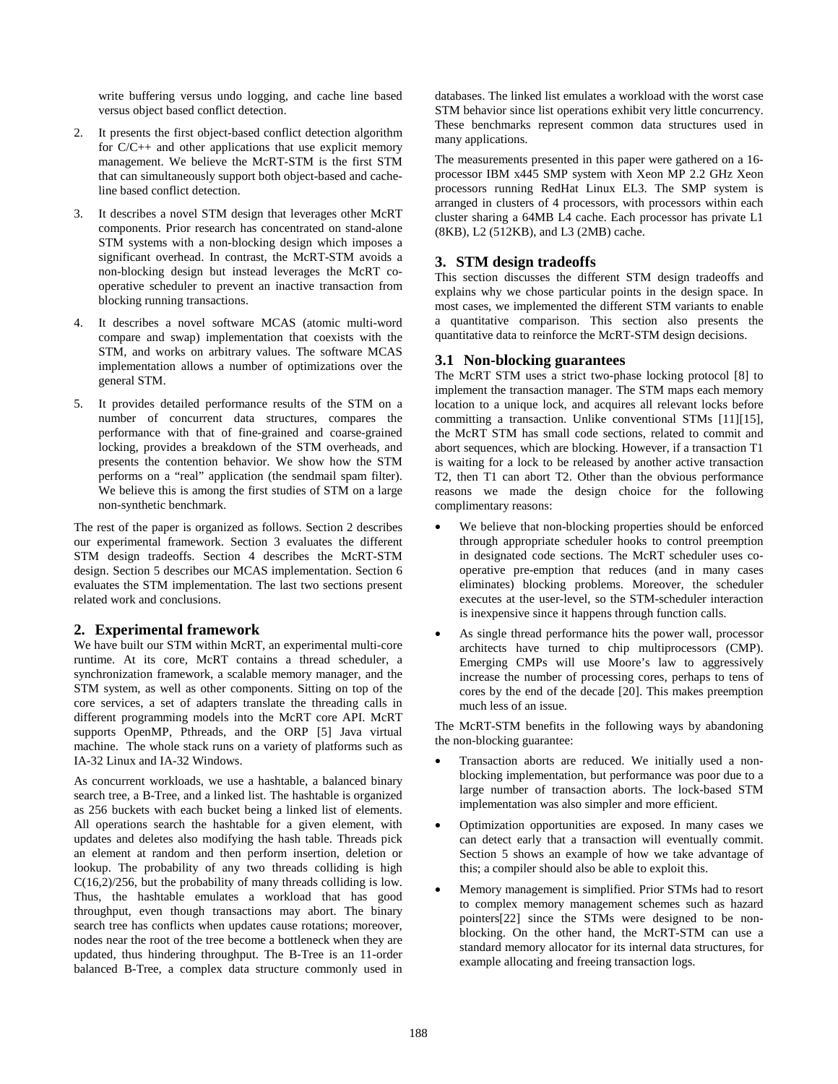write buffering versus undo logging, and cache line based versus object based conflict detection.

- 2. It presents the first object-based conflict detection algorithm for  $C/C++$  and other applications that use explicit memory management. We believe the McRT-STM is the first STM that can simultaneously support both object-based and cacheline based conflict detection.
- 3. It describes a novel STM design that leverages other McRT components. Prior research has concentrated on stand-alone STM systems with a non-blocking design which imposes a significant overhead. In contrast, the McRT-STM avoids a non-blocking design but instead leverages the McRT cooperative scheduler to prevent an inactive transaction from blocking running transactions.
- 4. It describes a novel software MCAS (atomic multi-word compare and swap) implementation that coexists with the STM, and works on arbitrary values. The software MCAS implementation allows a number of optimizations over the general STM.
- 5. It provides detailed performance results of the STM on a number of concurrent data structures, compares the performance with that of fine-grained and coarse-grained locking, provides a breakdown of the STM overheads, and presents the contention behavior. We show how the STM performs on a "real" application (the sendmail spam filter). We believe this is among the first studies of STM on a large non-synthetic benchmark.

The rest of the paper is organized as follows. Section 2 describes our experimental framework. Section 3 evaluates the different STM design tradeoffs. Section 4 describes the McRT-STM design. Section 5 describes our MCAS implementation. Section 6 evaluates the STM implementation. The last two sections present related work and conclusions.

# **2. Experimental framework**

We have built our STM within McRT, an experimental multi-core runtime. At its core, McRT contains a thread scheduler, a synchronization framework, a scalable memory manager, and the STM system, as well as other components. Sitting on top of the core services, a set of adapters translate the threading calls in different programming models into the McRT core API. McRT supports OpenMP, Pthreads, and the ORP [5] Java virtual machine. The whole stack runs on a variety of platforms such as IA-32 Linux and IA-32 Windows.

As concurrent workloads, we use a hashtable, a balanced binary search tree, a B-Tree, and a linked list. The hashtable is organized as 256 buckets with each bucket being a linked list of elements. All operations search the hashtable for a given element, with updates and deletes also modifying the hash table. Threads pick an element at random and then perform insertion, deletion or lookup. The probability of any two threads colliding is high C(16,2)/256, but the probability of many threads colliding is low. Thus, the hashtable emulates a workload that has good throughput, even though transactions may abort. The binary search tree has conflicts when updates cause rotations; moreover, nodes near the root of the tree become a bottleneck when they are updated, thus hindering throughput. The B-Tree is an 11-order balanced B-Tree, a complex data structure commonly used in

databases. The linked list emulates a workload with the worst case STM behavior since list operations exhibit very little concurrency. These benchmarks represent common data structures used in many applications.

The measurements presented in this paper were gathered on a 16 processor IBM x445 SMP system with Xeon MP 2.2 GHz Xeon processors running RedHat Linux EL3. The SMP system is arranged in clusters of 4 processors, with processors within each cluster sharing a 64MB L4 cache. Each processor has private L1 (8KB), L2 (512KB), and L3 (2MB) cache.

# **3. STM design tradeoffs**

This section discusses the different STM design tradeoffs and explains why we chose particular points in the design space. In most cases, we implemented the different STM variants to enable a quantitative comparison. This section also presents the quantitative data to reinforce the McRT-STM design decisions.

# **3.1 Non-blocking guarantees**

The McRT STM uses a strict two-phase locking protocol [8] to implement the transaction manager. The STM maps each memory location to a unique lock, and acquires all relevant locks before committing a transaction. Unlike conventional STMs [11][15], the McRT STM has small code sections, related to commit and abort sequences, which are blocking. However, if a transaction T1 is waiting for a lock to be released by another active transaction T2, then T1 can abort T2. Other than the obvious performance reasons we made the design choice for the following complimentary reasons:

- We believe that non-blocking properties should be enforced through appropriate scheduler hooks to control preemption in designated code sections. The McRT scheduler uses cooperative pre-emption that reduces (and in many cases eliminates) blocking problems. Moreover, the scheduler executes at the user-level, so the STM-scheduler interaction is inexpensive since it happens through function calls.
- As single thread performance hits the power wall, processor architects have turned to chip multiprocessors (CMP). Emerging CMPs will use Moore's law to aggressively increase the number of processing cores, perhaps to tens of cores by the end of the decade [20]. This makes preemption much less of an issue.

The McRT-STM benefits in the following ways by abandoning the non-blocking guarantee:

- Transaction aborts are reduced. We initially used a nonblocking implementation, but performance was poor due to a large number of transaction aborts. The lock-based STM implementation was also simpler and more efficient.
- Optimization opportunities are exposed. In many cases we can detect early that a transaction will eventually commit. Section 5 shows an example of how we take advantage of this; a compiler should also be able to exploit this.
- Memory management is simplified. Prior STMs had to resort to complex memory management schemes such as hazard pointers[22] since the STMs were designed to be nonblocking. On the other hand, the McRT-STM can use a standard memory allocator for its internal data structures, for example allocating and freeing transaction logs.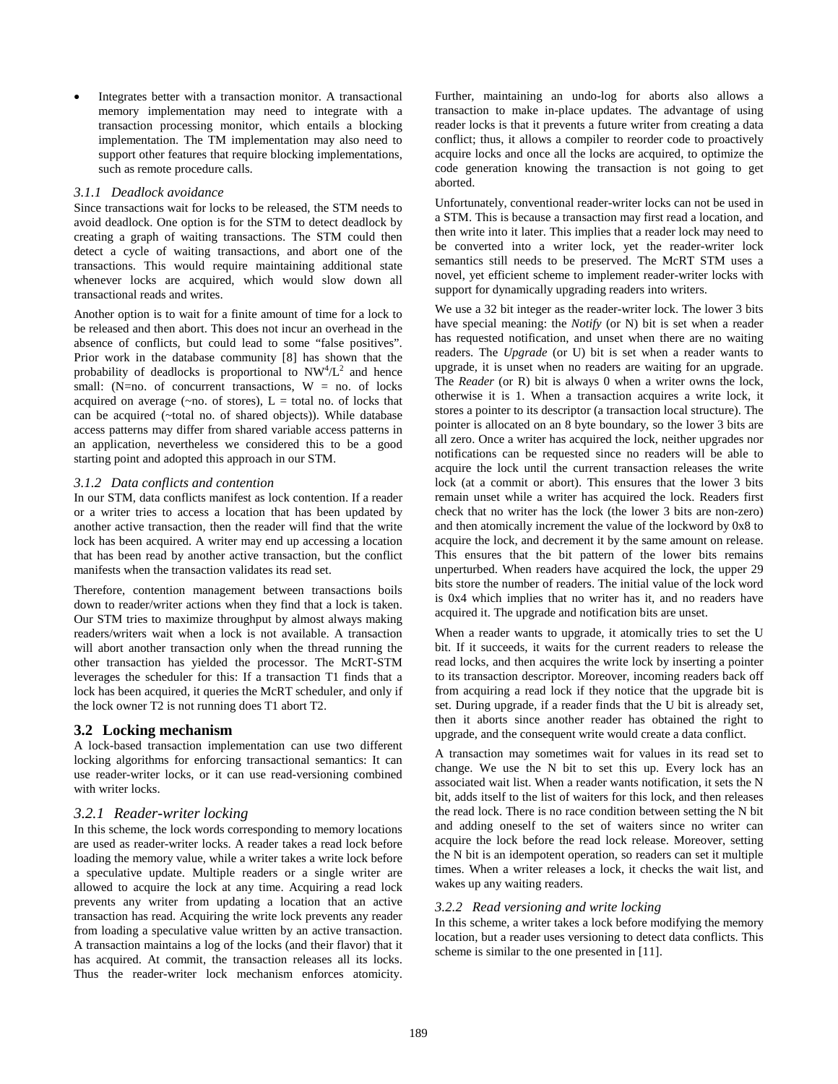• Integrates better with a transaction monitor. A transactional memory implementation may need to integrate with a transaction processing monitor, which entails a blocking implementation. The TM implementation may also need to support other features that require blocking implementations, such as remote procedure calls.

#### *3.1.1 Deadlock avoidance*

Since transactions wait for locks to be released, the STM needs to avoid deadlock. One option is for the STM to detect deadlock by creating a graph of waiting transactions. The STM could then detect a cycle of waiting transactions, and abort one of the transactions. This would require maintaining additional state whenever locks are acquired, which would slow down all transactional reads and writes.

Another option is to wait for a finite amount of time for a lock to be released and then abort. This does not incur an overhead in the absence of conflicts, but could lead to some "false positives". Prior work in the database community [8] has shown that the probability of deadlocks is proportional to  $NW<sup>4</sup>/L<sup>2</sup>$  and hence small: (N=no. of concurrent transactions,  $W = no$ . of locks acquired on average ( $\sim$ no. of stores), L = total no. of locks that can be acquired (~total no. of shared objects)). While database access patterns may differ from shared variable access patterns in an application, nevertheless we considered this to be a good starting point and adopted this approach in our STM.

#### *3.1.2 Data conflicts and contention*

In our STM, data conflicts manifest as lock contention. If a reader or a writer tries to access a location that has been updated by another active transaction, then the reader will find that the write lock has been acquired. A writer may end up accessing a location that has been read by another active transaction, but the conflict manifests when the transaction validates its read set.

Therefore, contention management between transactions boils down to reader/writer actions when they find that a lock is taken. Our STM tries to maximize throughput by almost always making readers/writers wait when a lock is not available. A transaction will abort another transaction only when the thread running the other transaction has yielded the processor. The McRT-STM leverages the scheduler for this: If a transaction T1 finds that a lock has been acquired, it queries the McRT scheduler, and only if the lock owner T2 is not running does T1 abort T2.

# **3.2 Locking mechanism**

A lock-based transaction implementation can use two different locking algorithms for enforcing transactional semantics: It can use reader-writer locks, or it can use read-versioning combined with writer locks.

# *3.2.1 Reader-writer locking*

In this scheme, the lock words corresponding to memory locations are used as reader-writer locks. A reader takes a read lock before loading the memory value, while a writer takes a write lock before a speculative update. Multiple readers or a single writer are allowed to acquire the lock at any time. Acquiring a read lock prevents any writer from updating a location that an active transaction has read. Acquiring the write lock prevents any reader from loading a speculative value written by an active transaction. A transaction maintains a log of the locks (and their flavor) that it has acquired. At commit, the transaction releases all its locks. Thus the reader-writer lock mechanism enforces atomicity.

Further, maintaining an undo-log for aborts also allows a transaction to make in-place updates. The advantage of using reader locks is that it prevents a future writer from creating a data conflict; thus, it allows a compiler to reorder code to proactively acquire locks and once all the locks are acquired, to optimize the code generation knowing the transaction is not going to get aborted.

Unfortunately, conventional reader-writer locks can not be used in a STM. This is because a transaction may first read a location, and then write into it later. This implies that a reader lock may need to be converted into a writer lock, yet the reader-writer lock semantics still needs to be preserved. The McRT STM uses a novel, yet efficient scheme to implement reader-writer locks with support for dynamically upgrading readers into writers.

We use a 32 bit integer as the reader-writer lock. The lower 3 bits have special meaning: the *Notify* (or N) bit is set when a reader has requested notification, and unset when there are no waiting readers. The *Upgrade* (or U) bit is set when a reader wants to upgrade, it is unset when no readers are waiting for an upgrade. The *Reader* (or R) bit is always 0 when a writer owns the lock, otherwise it is 1. When a transaction acquires a write lock, it stores a pointer to its descriptor (a transaction local structure). The pointer is allocated on an 8 byte boundary, so the lower 3 bits are all zero. Once a writer has acquired the lock, neither upgrades nor notifications can be requested since no readers will be able to acquire the lock until the current transaction releases the write lock (at a commit or abort). This ensures that the lower 3 bits remain unset while a writer has acquired the lock. Readers first check that no writer has the lock (the lower 3 bits are non-zero) and then atomically increment the value of the lockword by 0x8 to acquire the lock, and decrement it by the same amount on release. This ensures that the bit pattern of the lower bits remains unperturbed. When readers have acquired the lock, the upper 29 bits store the number of readers. The initial value of the lock word is 0x4 which implies that no writer has it, and no readers have acquired it. The upgrade and notification bits are unset.

When a reader wants to upgrade, it atomically tries to set the U bit. If it succeeds, it waits for the current readers to release the read locks, and then acquires the write lock by inserting a pointer to its transaction descriptor. Moreover, incoming readers back off from acquiring a read lock if they notice that the upgrade bit is set. During upgrade, if a reader finds that the U bit is already set, then it aborts since another reader has obtained the right to upgrade, and the consequent write would create a data conflict.

A transaction may sometimes wait for values in its read set to change. We use the N bit to set this up. Every lock has an associated wait list. When a reader wants notification, it sets the N bit, adds itself to the list of waiters for this lock, and then releases the read lock. There is no race condition between setting the N bit and adding oneself to the set of waiters since no writer can acquire the lock before the read lock release. Moreover, setting the N bit is an idempotent operation, so readers can set it multiple times. When a writer releases a lock, it checks the wait list, and wakes up any waiting readers.

# *3.2.2 Read versioning and write locking*

In this scheme, a writer takes a lock before modifying the memory location, but a reader uses versioning to detect data conflicts. This scheme is similar to the one presented in [11].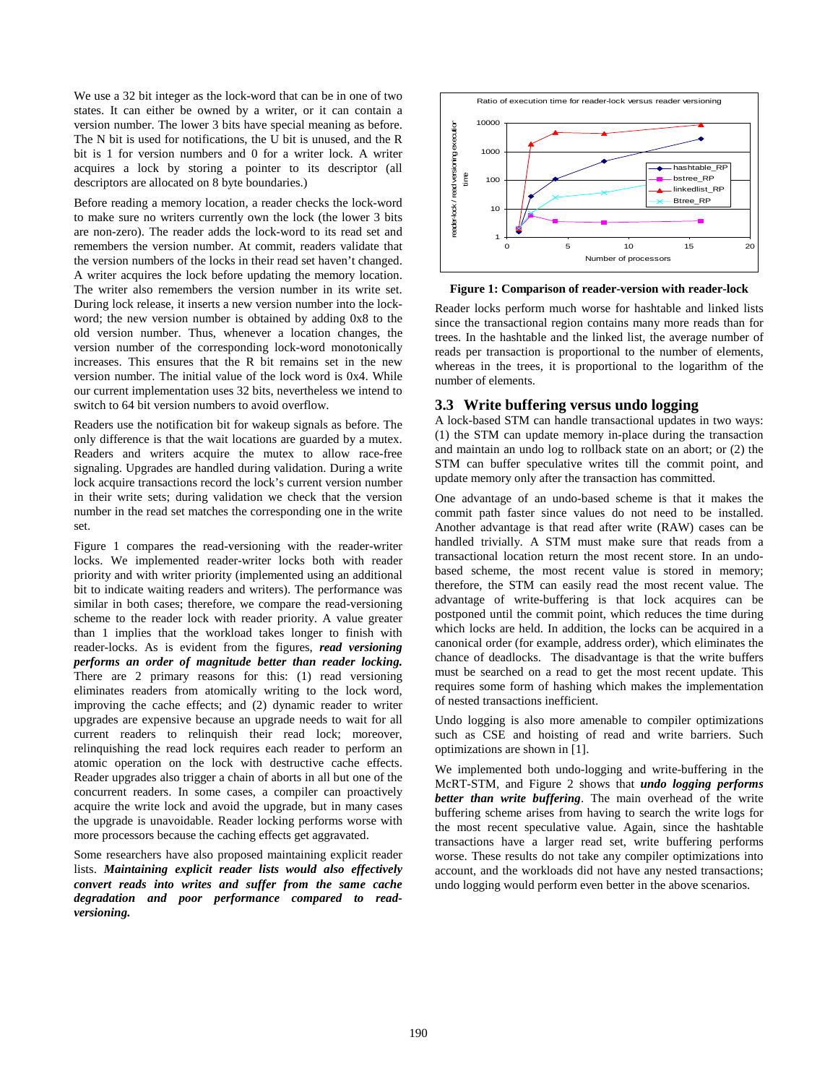We use a 32 bit integer as the lock-word that can be in one of two states. It can either be owned by a writer, or it can contain a version number. The lower 3 bits have special meaning as before. The N bit is used for notifications, the U bit is unused, and the R bit is 1 for version numbers and 0 for a writer lock. A writer acquires a lock by storing a pointer to its descriptor (all descriptors are allocated on 8 byte boundaries.)

Before reading a memory location, a reader checks the lock-word to make sure no writers currently own the lock (the lower 3 bits are non-zero). The reader adds the lock-word to its read set and remembers the version number. At commit, readers validate that the version numbers of the locks in their read set haven't changed. A writer acquires the lock before updating the memory location. The writer also remembers the version number in its write set. During lock release, it inserts a new version number into the lockword; the new version number is obtained by adding 0x8 to the old version number. Thus, whenever a location changes, the version number of the corresponding lock-word monotonically increases. This ensures that the R bit remains set in the new version number. The initial value of the lock word is 0x4. While our current implementation uses 32 bits, nevertheless we intend to switch to 64 bit version numbers to avoid overflow.

Readers use the notification bit for wakeup signals as before. The only difference is that the wait locations are guarded by a mutex. Readers and writers acquire the mutex to allow race-free signaling. Upgrades are handled during validation. During a write lock acquire transactions record the lock's current version number in their write sets; during validation we check that the version number in the read set matches the corresponding one in the write set.

Figure 1 compares the read-versioning with the reader-writer locks. We implemented reader-writer locks both with reader priority and with writer priority (implemented using an additional bit to indicate waiting readers and writers). The performance was similar in both cases; therefore, we compare the read-versioning scheme to the reader lock with reader priority. A value greater than 1 implies that the workload takes longer to finish with reader-locks. As is evident from the figures, *read versioning performs an order of magnitude better than reader locking.* There are 2 primary reasons for this: (1) read versioning eliminates readers from atomically writing to the lock word, improving the cache effects; and (2) dynamic reader to writer upgrades are expensive because an upgrade needs to wait for all current readers to relinquish their read lock; moreover, relinquishing the read lock requires each reader to perform an atomic operation on the lock with destructive cache effects. Reader upgrades also trigger a chain of aborts in all but one of the concurrent readers. In some cases, a compiler can proactively acquire the write lock and avoid the upgrade, but in many cases the upgrade is unavoidable. Reader locking performs worse with more processors because the caching effects get aggravated.

Some researchers have also proposed maintaining explicit reader lists. *Maintaining explicit reader lists would also effectively convert reads into writes and suffer from the same cache degradation and poor performance compared to readversioning.*



**Figure 1: Comparison of reader-version with reader-lock** 

Reader locks perform much worse for hashtable and linked lists since the transactional region contains many more reads than for trees. In the hashtable and the linked list, the average number of reads per transaction is proportional to the number of elements, whereas in the trees, it is proportional to the logarithm of the number of elements.

# **3.3 Write buffering versus undo logging**

A lock-based STM can handle transactional updates in two ways: (1) the STM can update memory in-place during the transaction and maintain an undo log to rollback state on an abort; or (2) the STM can buffer speculative writes till the commit point, and update memory only after the transaction has committed.

One advantage of an undo-based scheme is that it makes the commit path faster since values do not need to be installed. Another advantage is that read after write (RAW) cases can be handled trivially. A STM must make sure that reads from a transactional location return the most recent store. In an undobased scheme, the most recent value is stored in memory; therefore, the STM can easily read the most recent value. The advantage of write-buffering is that lock acquires can be postponed until the commit point, which reduces the time during which locks are held. In addition, the locks can be acquired in a canonical order (for example, address order), which eliminates the chance of deadlocks. The disadvantage is that the write buffers must be searched on a read to get the most recent update. This requires some form of hashing which makes the implementation of nested transactions inefficient.

Undo logging is also more amenable to compiler optimizations such as CSE and hoisting of read and write barriers. Such optimizations are shown in [1].

We implemented both undo-logging and write-buffering in the McRT-STM, and Figure 2 shows that *undo logging performs better than write buffering*. The main overhead of the write buffering scheme arises from having to search the write logs for the most recent speculative value. Again, since the hashtable transactions have a larger read set, write buffering performs worse. These results do not take any compiler optimizations into account, and the workloads did not have any nested transactions; undo logging would perform even better in the above scenarios.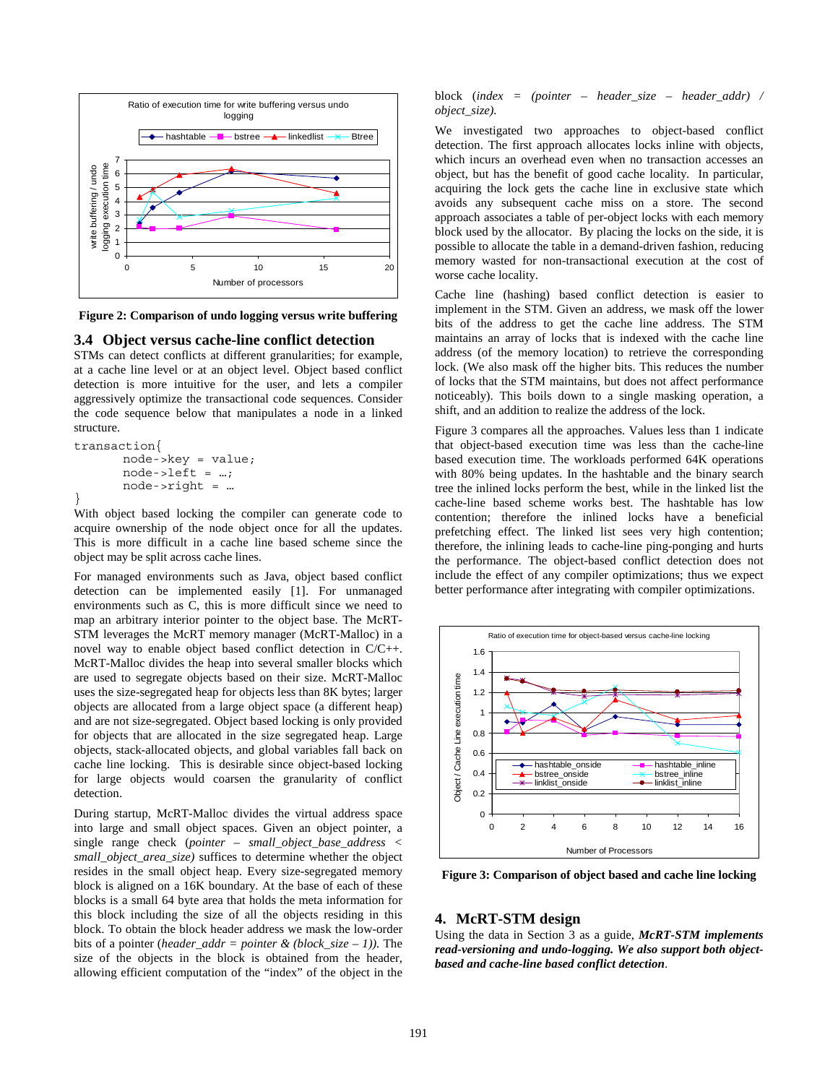

**Figure 2: Comparison of undo logging versus write buffering** 

#### **3.4 Object versus cache-line conflict detection**

STMs can detect conflicts at different granularities; for example, at a cache line level or at an object level. Object based conflict detection is more intuitive for the user, and lets a compiler aggressively optimize the transactional code sequences. Consider the code sequence below that manipulates a node in a linked structure.

```
transaction{ 
        node->key = value; 
        node->left = …; 
        node->right = … 
}
```
With object based locking the compiler can generate code to acquire ownership of the node object once for all the updates. This is more difficult in a cache line based scheme since the object may be split across cache lines.

For managed environments such as Java, object based conflict detection can be implemented easily [1]. For unmanaged environments such as C, this is more difficult since we need to map an arbitrary interior pointer to the object base. The McRT-STM leverages the McRT memory manager (McRT-Malloc) in a novel way to enable object based conflict detection in C/C++. McRT-Malloc divides the heap into several smaller blocks which are used to segregate objects based on their size. McRT-Malloc uses the size-segregated heap for objects less than 8K bytes; larger objects are allocated from a large object space (a different heap) and are not size-segregated. Object based locking is only provided for objects that are allocated in the size segregated heap. Large objects, stack-allocated objects, and global variables fall back on cache line locking. This is desirable since object-based locking for large objects would coarsen the granularity of conflict detection.

During startup, McRT-Malloc divides the virtual address space into large and small object spaces. Given an object pointer, a single range check (*pointer – small\_object\_base\_address < small\_object\_area\_size)* suffices to determine whether the object resides in the small object heap. Every size-segregated memory block is aligned on a 16K boundary. At the base of each of these blocks is a small 64 byte area that holds the meta information for this block including the size of all the objects residing in this block. To obtain the block header address we mask the low-order bits of a pointer (*header addr = pointer & (block size – 1*)). The size of the objects in the block is obtained from the header, allowing efficient computation of the "index" of the object in the

block (*index = (pointer – header\_size – header\_addr) / object\_size).* 

We investigated two approaches to object-based conflict detection. The first approach allocates locks inline with objects, which incurs an overhead even when no transaction accesses an object, but has the benefit of good cache locality. In particular, acquiring the lock gets the cache line in exclusive state which avoids any subsequent cache miss on a store. The second approach associates a table of per-object locks with each memory block used by the allocator. By placing the locks on the side, it is possible to allocate the table in a demand-driven fashion, reducing memory wasted for non-transactional execution at the cost of worse cache locality.

Cache line (hashing) based conflict detection is easier to implement in the STM. Given an address, we mask off the lower bits of the address to get the cache line address. The STM maintains an array of locks that is indexed with the cache line address (of the memory location) to retrieve the corresponding lock. (We also mask off the higher bits. This reduces the number of locks that the STM maintains, but does not affect performance noticeably). This boils down to a single masking operation, a shift, and an addition to realize the address of the lock.

Figure 3 compares all the approaches. Values less than 1 indicate that object-based execution time was less than the cache-line based execution time. The workloads performed 64K operations with 80% being updates. In the hashtable and the binary search tree the inlined locks perform the best, while in the linked list the cache-line based scheme works best. The hashtable has low contention; therefore the inlined locks have a beneficial prefetching effect. The linked list sees very high contention; therefore, the inlining leads to cache-line ping-ponging and hurts the performance. The object-based conflict detection does not include the effect of any compiler optimizations; thus we expect better performance after integrating with compiler optimizations.



**Figure 3: Comparison of object based and cache line locking** 

#### **4. McRT-STM design**

Using the data in Section 3 as a guide, *McRT-STM implements read-versioning and undo-logging. We also support both objectbased and cache-line based conflict detection*.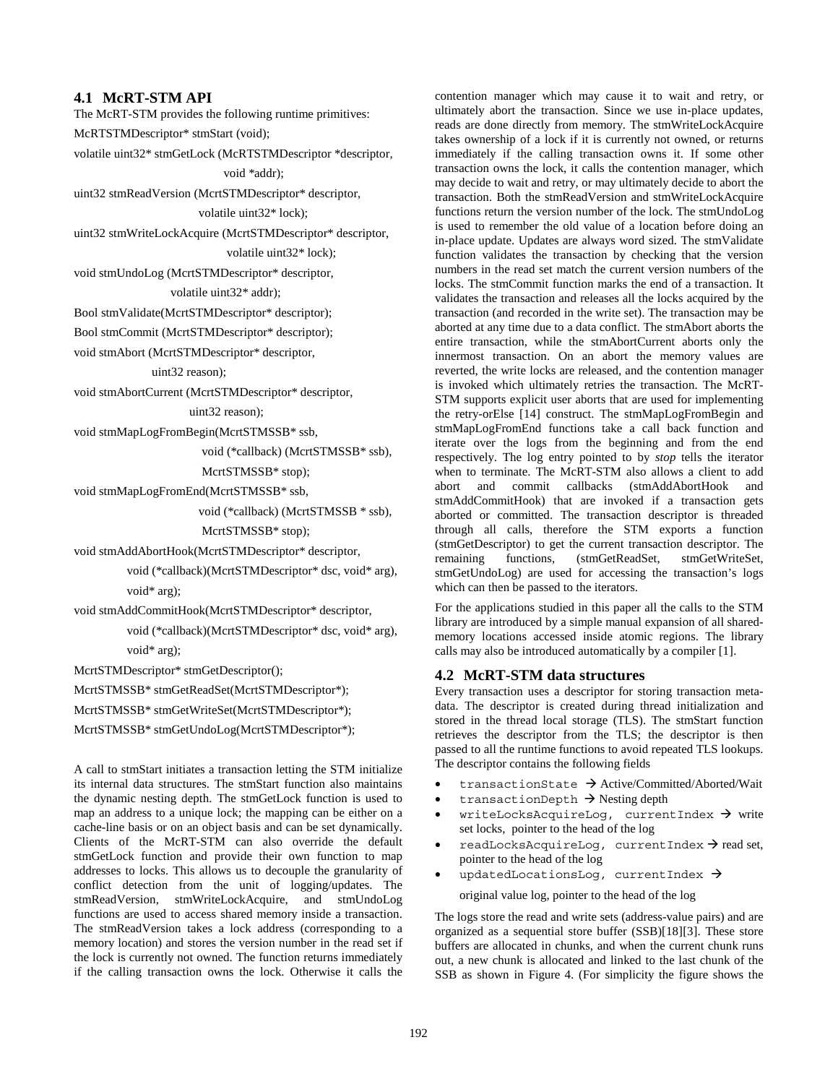# **4.1 McRT-STM API**

The McRT-STM provides the following runtime primitives:

McRTSTMDescriptor\* stmStart (void);

volatile uint32\* stmGetLock (McRTSTMDescriptor \*descriptor, void \*addr);

uint32 stmReadVersion (McrtSTMDescriptor\* descriptor,

volatile uint32\* lock);

uint32 stmWriteLockAcquire (McrtSTMDescriptor\* descriptor, volatile uint32\* lock);

void stmUndoLog (McrtSTMDescriptor\* descriptor, volatile uint32\* addr);

Bool stmValidate(McrtSTMDescriptor\* descriptor);

Bool stmCommit (McrtSTMDescriptor\* descriptor);

void stmAbort (McrtSTMDescriptor\* descriptor,

#### uint32 reason);

void stmAbortCurrent (McrtSTMDescriptor\* descriptor, uint32 reason);

void stmMapLogFromBegin(McrtSTMSSB\* ssb,

void (\*callback) (McrtSTMSSB\* ssb),

McrtSTMSSB<sup>\*</sup> stop);

void stmMapLogFromEnd(McrtSTMSSB\* ssb,

void (\*callback) (McrtSTMSSB \* ssb),

McrtSTMSSB<sup>\*</sup> stop);

void stmAddAbortHook(McrtSTMDescriptor\* descriptor,

void (\*callback)(McrtSTMDescriptor\* dsc, void\* arg),

void\* arg);

void stmAddCommitHook(McrtSTMDescriptor\* descriptor,

void (\*callback)(McrtSTMDescriptor\* dsc, void\* arg),

void\* arg);

McrtSTMDescriptor\* stmGetDescriptor();

McrtSTMSSB\* stmGetReadSet(McrtSTMDescriptor\*);

McrtSTMSSB\* stmGetWriteSet(McrtSTMDescriptor\*);

McrtSTMSSB\* stmGetUndoLog(McrtSTMDescriptor\*);

A call to stmStart initiates a transaction letting the STM initialize its internal data structures. The stmStart function also maintains the dynamic nesting depth. The stmGetLock function is used to map an address to a unique lock; the mapping can be either on a cache-line basis or on an object basis and can be set dynamically. Clients of the McRT-STM can also override the default stmGetLock function and provide their own function to map addresses to locks. This allows us to decouple the granularity of conflict detection from the unit of logging/updates. The stmReadVersion, stmWriteLockAcquire, and stmUndoLog functions are used to access shared memory inside a transaction. The stmReadVersion takes a lock address (corresponding to a memory location) and stores the version number in the read set if the lock is currently not owned. The function returns immediately if the calling transaction owns the lock. Otherwise it calls the

contention manager which may cause it to wait and retry, or ultimately abort the transaction. Since we use in-place updates, reads are done directly from memory. The stmWriteLockAcquire takes ownership of a lock if it is currently not owned, or returns immediately if the calling transaction owns it. If some other transaction owns the lock, it calls the contention manager, which may decide to wait and retry, or may ultimately decide to abort the transaction. Both the stmReadVersion and stmWriteLockAcquire functions return the version number of the lock. The stmUndoLog is used to remember the old value of a location before doing an in-place update. Updates are always word sized. The stmValidate function validates the transaction by checking that the version numbers in the read set match the current version numbers of the locks. The stmCommit function marks the end of a transaction. It validates the transaction and releases all the locks acquired by the transaction (and recorded in the write set). The transaction may be aborted at any time due to a data conflict. The stmAbort aborts the entire transaction, while the stmAbortCurrent aborts only the innermost transaction. On an abort the memory values are reverted, the write locks are released, and the contention manager is invoked which ultimately retries the transaction. The McRT-STM supports explicit user aborts that are used for implementing the retry-orElse [14] construct. The stmMapLogFromBegin and stmMapLogFromEnd functions take a call back function and iterate over the logs from the beginning and from the end respectively. The log entry pointed to by *stop* tells the iterator when to terminate. The McRT-STM also allows a client to add abort and commit callbacks (stmAddAbortHook and stmAddCommitHook) that are invoked if a transaction gets aborted or committed. The transaction descriptor is threaded through all calls, therefore the STM exports a function (stmGetDescriptor) to get the current transaction descriptor. The remaining functions, (stmGetReadSet, stmGetWriteSet, remaining functions, (stmGetReadSet, stmGetUndoLog) are used for accessing the transaction's logs which can then be passed to the iterators.

For the applications studied in this paper all the calls to the STM library are introduced by a simple manual expansion of all sharedmemory locations accessed inside atomic regions. The library calls may also be introduced automatically by a compiler [1].

# **4.2 McRT-STM data structures**

Every transaction uses a descriptor for storing transaction metadata. The descriptor is created during thread initialization and stored in the thread local storage (TLS). The stmStart function retrieves the descriptor from the TLS; the descriptor is then passed to all the runtime functions to avoid repeated TLS lookups. The descriptor contains the following fields

- transactionState  $\rightarrow$  Active/Committed/Aborted/Wait
- transactionDepth  $\rightarrow$  Nesting depth
- $writeLocksAcquireLog, currentIndex \rightarrow write$ set locks, pointer to the head of the log
- readLocksAcquireLog, currentIndex  $\rightarrow$  read set, pointer to the head of the log
- updatedLocationsLog, currentIndex  $\rightarrow$

original value log, pointer to the head of the log

The logs store the read and write sets (address-value pairs) and are organized as a sequential store buffer (SSB)[18][3]. These store buffers are allocated in chunks, and when the current chunk runs out, a new chunk is allocated and linked to the last chunk of the SSB as shown in Figure 4. (For simplicity the figure shows the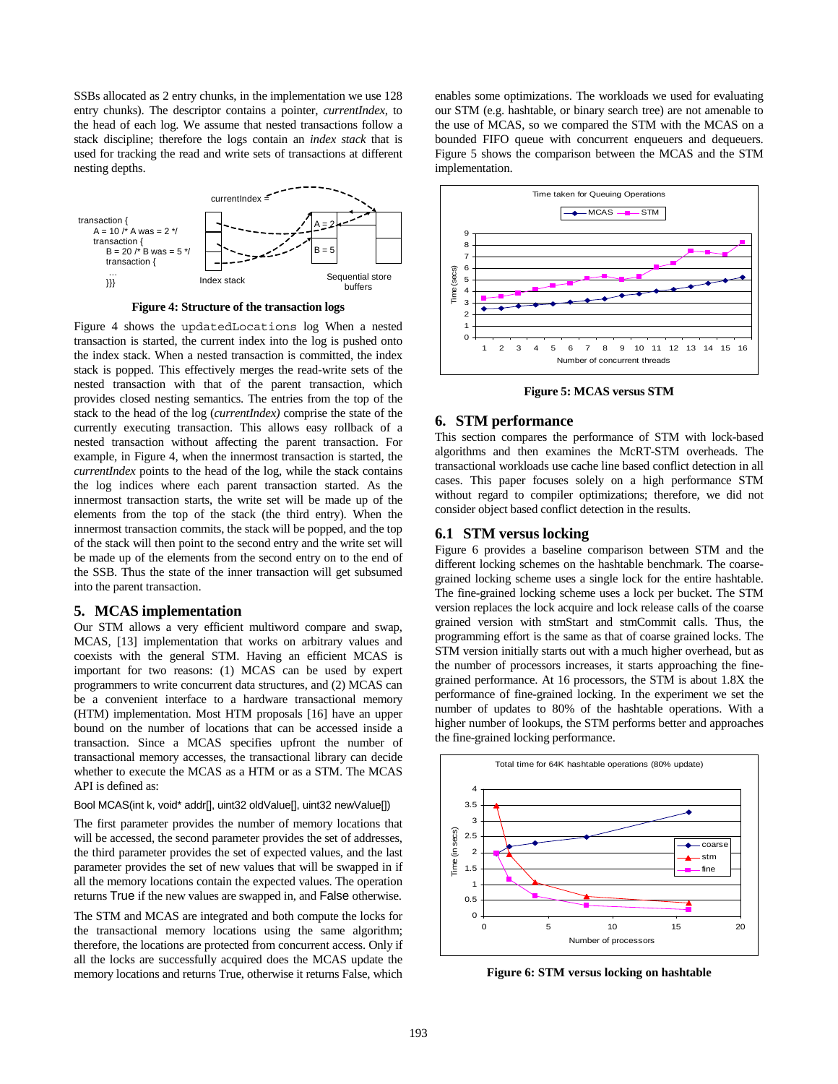SSBs allocated as 2 entry chunks, in the implementation we use 128 entry chunks). The descriptor contains a pointer, *currentIndex,* to the head of each log. We assume that nested transactions follow a stack discipline; therefore the logs contain an *index stack* that is used for tracking the read and write sets of transactions at different nesting depths.



**Figure 4: Structure of the transaction logs** 

Figure 4 shows the updatedLocations log When a nested transaction is started, the current index into the log is pushed onto the index stack. When a nested transaction is committed, the index stack is popped. This effectively merges the read-write sets of the nested transaction with that of the parent transaction, which provides closed nesting semantics. The entries from the top of the stack to the head of the log (*currentIndex)* comprise the state of the currently executing transaction. This allows easy rollback of a nested transaction without affecting the parent transaction. For example, in Figure 4, when the innermost transaction is started, the *currentIndex* points to the head of the log, while the stack contains the log indices where each parent transaction started. As the innermost transaction starts, the write set will be made up of the elements from the top of the stack (the third entry). When the innermost transaction commits, the stack will be popped, and the top of the stack will then point to the second entry and the write set will be made up of the elements from the second entry on to the end of the SSB. Thus the state of the inner transaction will get subsumed into the parent transaction.

#### **5. MCAS implementation**

Our STM allows a very efficient multiword compare and swap, MCAS, [13] implementation that works on arbitrary values and coexists with the general STM. Having an efficient MCAS is important for two reasons: (1) MCAS can be used by expert programmers to write concurrent data structures, and (2) MCAS can be a convenient interface to a hardware transactional memory (HTM) implementation. Most HTM proposals [16] have an upper bound on the number of locations that can be accessed inside a transaction. Since a MCAS specifies upfront the number of transactional memory accesses, the transactional library can decide whether to execute the MCAS as a HTM or as a STM. The MCAS API is defined as:

Bool MCAS(int k, void\* addr[], uint32 oldValue[], uint32 newValue[])

The first parameter provides the number of memory locations that will be accessed, the second parameter provides the set of addresses, the third parameter provides the set of expected values, and the last parameter provides the set of new values that will be swapped in if all the memory locations contain the expected values. The operation returns True if the new values are swapped in, and False otherwise.

The STM and MCAS are integrated and both compute the locks for the transactional memory locations using the same algorithm; therefore, the locations are protected from concurrent access. Only if all the locks are successfully acquired does the MCAS update the memory locations and returns True, otherwise it returns False, which

enables some optimizations. The workloads we used for evaluating our STM (e.g. hashtable, or binary search tree) are not amenable to the use of MCAS, so we compared the STM with the MCAS on a bounded FIFO queue with concurrent enqueuers and dequeuers. Figure 5 shows the comparison between the MCAS and the STM implementation.



**Figure 5: MCAS versus STM** 

#### **6. STM performance**

This section compares the performance of STM with lock-based algorithms and then examines the McRT-STM overheads. The transactional workloads use cache line based conflict detection in all cases. This paper focuses solely on a high performance STM without regard to compiler optimizations; therefore, we did not consider object based conflict detection in the results.

#### **6.1 STM versus locking**

Figure 6 provides a baseline comparison between STM and the different locking schemes on the hashtable benchmark. The coarsegrained locking scheme uses a single lock for the entire hashtable. The fine-grained locking scheme uses a lock per bucket. The STM version replaces the lock acquire and lock release calls of the coarse grained version with stmStart and stmCommit calls. Thus, the programming effort is the same as that of coarse grained locks. The STM version initially starts out with a much higher overhead, but as the number of processors increases, it starts approaching the finegrained performance. At 16 processors, the STM is about 1.8X the performance of fine-grained locking. In the experiment we set the number of updates to 80% of the hashtable operations. With a higher number of lookups, the STM performs better and approaches the fine-grained locking performance.



**Figure 6: STM versus locking on hashtable**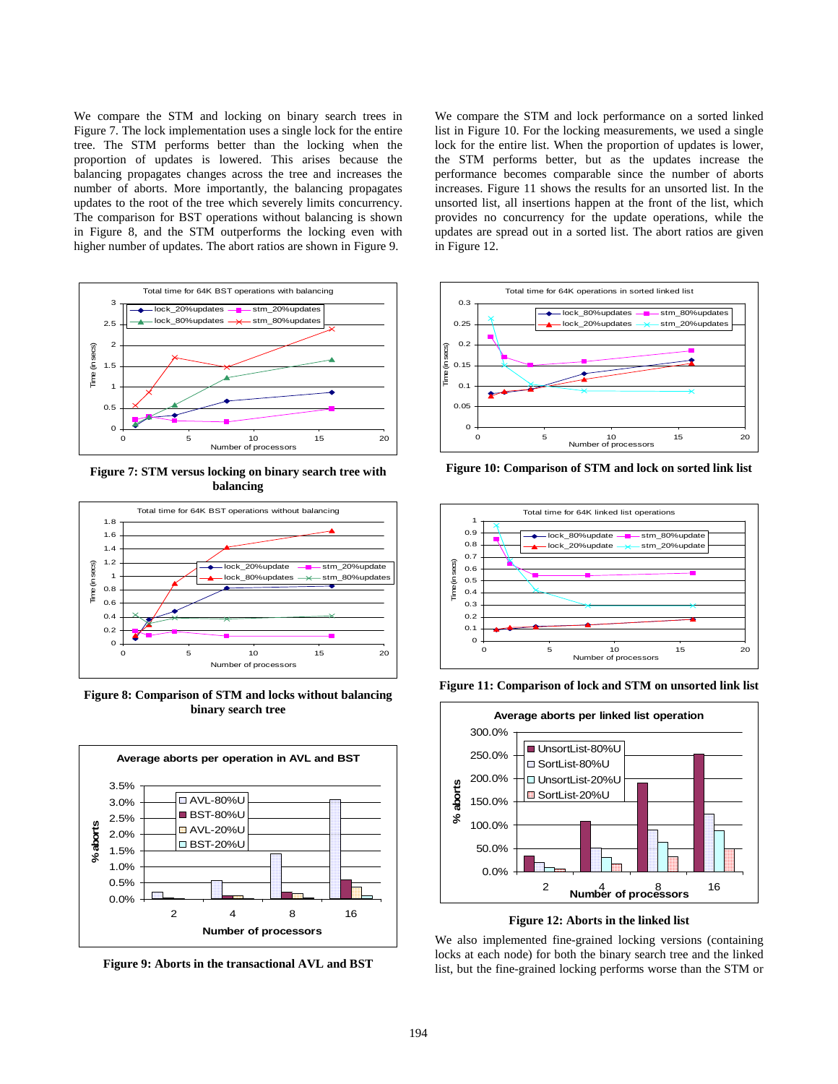We compare the STM and locking on binary search trees in Figure 7. The lock implementation uses a single lock for the entire tree. The STM performs better than the locking when the proportion of updates is lowered. This arises because the balancing propagates changes across the tree and increases the number of aborts. More importantly, the balancing propagates updates to the root of the tree which severely limits concurrency. The comparison for BST operations without balancing is shown in Figure 8, and the STM outperforms the locking even with higher number of updates. The abort ratios are shown in Figure 9.



**Figure 7: STM versus locking on binary search tree with balancing** 



**Figure 8: Comparison of STM and locks without balancing binary search tree** 



**Figure 9: Aborts in the transactional AVL and BST** 

We compare the STM and lock performance on a sorted linked list in Figure 10. For the locking measurements, we used a single lock for the entire list. When the proportion of updates is lower, the STM performs better, but as the updates increase the performance becomes comparable since the number of aborts increases. Figure 11 shows the results for an unsorted list. In the unsorted list, all insertions happen at the front of the list, which provides no concurrency for the update operations, while the updates are spread out in a sorted list. The abort ratios are given in Figure 12.



**Figure 10: Comparison of STM and lock on sorted link list** 



**Figure 11: Comparison of lock and STM on unsorted link list** 



**Figure 12: Aborts in the linked list** 

We also implemented fine-grained locking versions (containing locks at each node) for both the binary search tree and the linked list, but the fine-grained locking performs worse than the STM or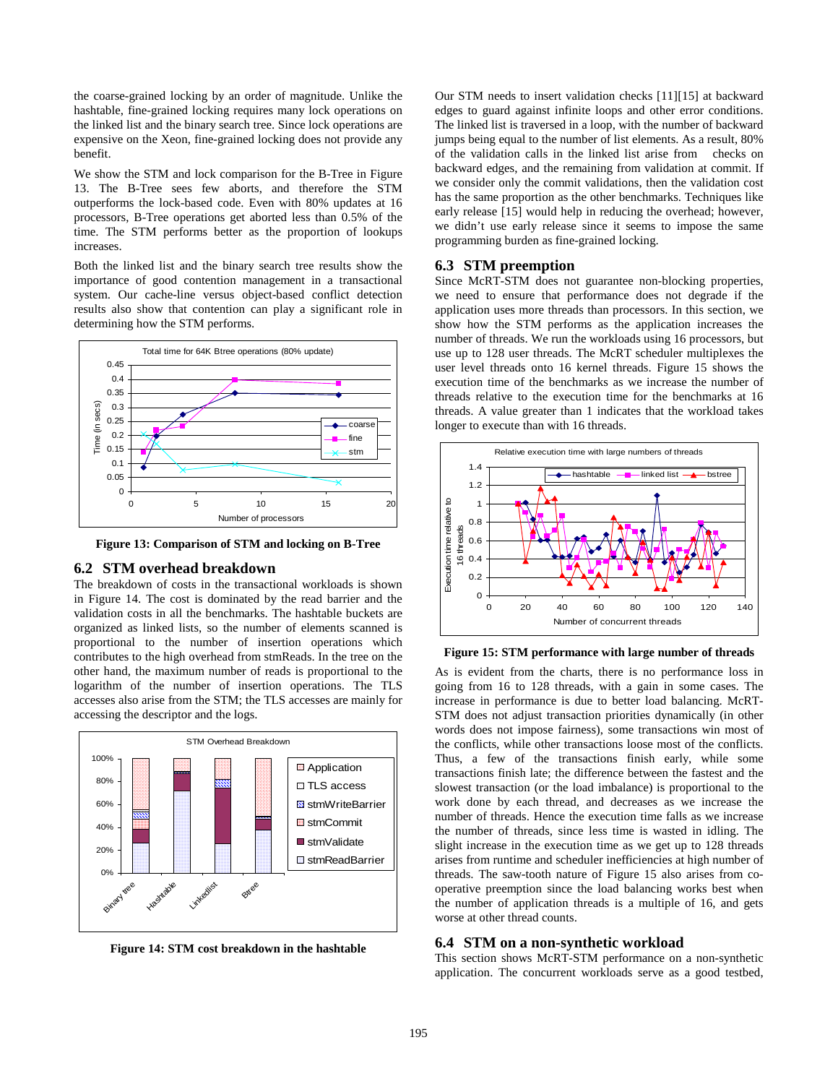the coarse-grained locking by an order of magnitude. Unlike the hashtable, fine-grained locking requires many lock operations on the linked list and the binary search tree. Since lock operations are expensive on the Xeon, fine-grained locking does not provide any benefit.

We show the STM and lock comparison for the B-Tree in Figure 13. The B-Tree sees few aborts, and therefore the STM outperforms the lock-based code. Even with 80% updates at 16 processors, B-Tree operations get aborted less than 0.5% of the time. The STM performs better as the proportion of lookups increases.

Both the linked list and the binary search tree results show the importance of good contention management in a transactional system. Our cache-line versus object-based conflict detection results also show that contention can play a significant role in determining how the STM performs.



**Figure 13: Comparison of STM and locking on B-Tree** 

#### **6.2 STM overhead breakdown**

The breakdown of costs in the transactional workloads is shown in Figure 14. The cost is dominated by the read barrier and the validation costs in all the benchmarks. The hashtable buckets are organized as linked lists, so the number of elements scanned is proportional to the number of insertion operations which contributes to the high overhead from stmReads. In the tree on the other hand, the maximum number of reads is proportional to the logarithm of the number of insertion operations. The TLS accesses also arise from the STM; the TLS accesses are mainly for accessing the descriptor and the logs.



**Figure 14: STM cost breakdown in the hashtable** 

Our STM needs to insert validation checks [11][15] at backward edges to guard against infinite loops and other error conditions. The linked list is traversed in a loop, with the number of backward jumps being equal to the number of list elements. As a result, 80% of the validation calls in the linked list arise from checks on backward edges, and the remaining from validation at commit. If we consider only the commit validations, then the validation cost has the same proportion as the other benchmarks. Techniques like early release [15] would help in reducing the overhead; however, we didn't use early release since it seems to impose the same programming burden as fine-grained locking.

#### **6.3 STM preemption**

Since McRT-STM does not guarantee non-blocking properties, we need to ensure that performance does not degrade if the application uses more threads than processors. In this section, we show how the STM performs as the application increases the number of threads. We run the workloads using 16 processors, but use up to 128 user threads. The McRT scheduler multiplexes the user level threads onto 16 kernel threads. Figure 15 shows the execution time of the benchmarks as we increase the number of threads relative to the execution time for the benchmarks at 16 threads. A value greater than 1 indicates that the workload takes longer to execute than with 16 threads.



**Figure 15: STM performance with large number of threads** 

As is evident from the charts, there is no performance loss in going from 16 to 128 threads, with a gain in some cases. The increase in performance is due to better load balancing. McRT-STM does not adjust transaction priorities dynamically (in other words does not impose fairness), some transactions win most of the conflicts, while other transactions loose most of the conflicts. Thus, a few of the transactions finish early, while some transactions finish late; the difference between the fastest and the slowest transaction (or the load imbalance) is proportional to the work done by each thread, and decreases as we increase the number of threads. Hence the execution time falls as we increase the number of threads, since less time is wasted in idling. The slight increase in the execution time as we get up to 128 threads arises from runtime and scheduler inefficiencies at high number of threads. The saw-tooth nature of Figure 15 also arises from cooperative preemption since the load balancing works best when the number of application threads is a multiple of 16, and gets worse at other thread counts.

#### **6.4 STM on a non-synthetic workload**

This section shows McRT-STM performance on a non-synthetic application. The concurrent workloads serve as a good testbed,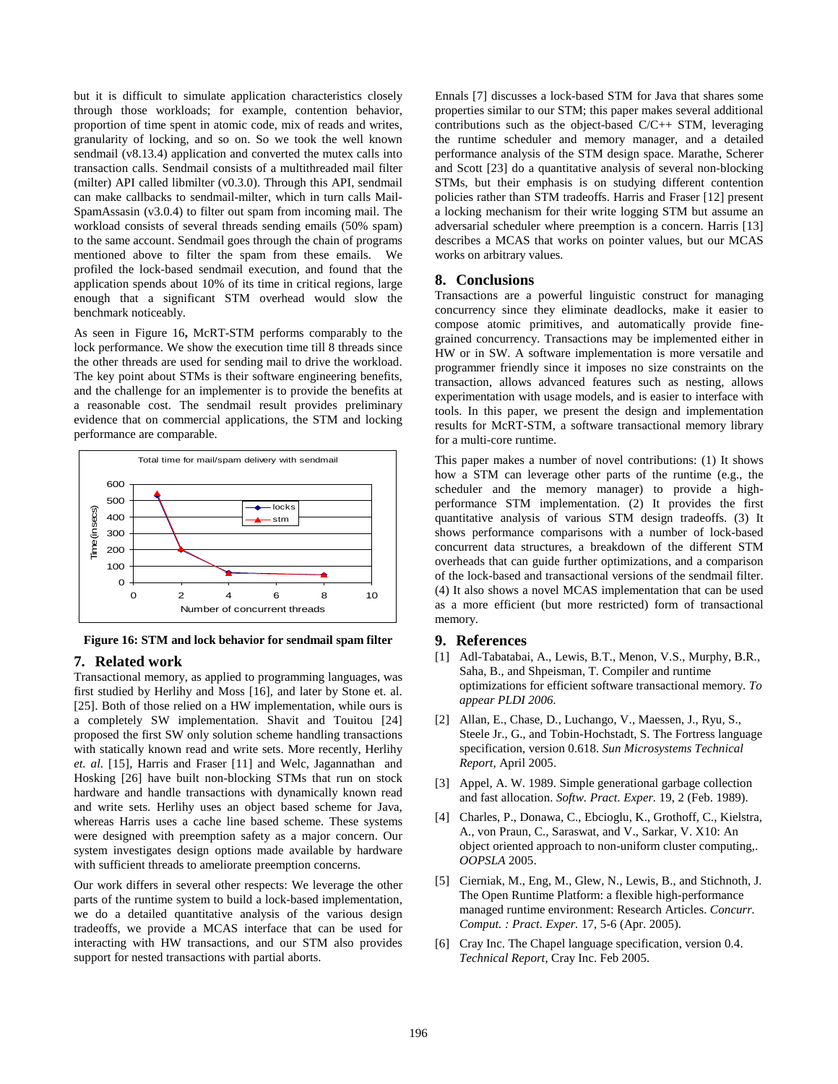but it is difficult to simulate application characteristics closely through those workloads; for example, contention behavior, proportion of time spent in atomic code, mix of reads and writes, granularity of locking, and so on. So we took the well known sendmail (v8.13.4) application and converted the mutex calls into transaction calls. Sendmail consists of a multithreaded mail filter (milter) API called libmilter (v0.3.0). Through this API, sendmail can make callbacks to sendmail-milter, which in turn calls Mail-SpamAssasin (v3.0.4) to filter out spam from incoming mail. The workload consists of several threads sending emails (50% spam) to the same account. Sendmail goes through the chain of programs mentioned above to filter the spam from these emails. We profiled the lock-based sendmail execution, and found that the application spends about 10% of its time in critical regions, large enough that a significant STM overhead would slow the benchmark noticeably.

As seen in Figure 16**,** McRT-STM performs comparably to the lock performance. We show the execution time till 8 threads since the other threads are used for sending mail to drive the workload. The key point about STMs is their software engineering benefits, and the challenge for an implementer is to provide the benefits at a reasonable cost. The sendmail result provides preliminary evidence that on commercial applications, the STM and locking performance are comparable.



**Figure 16: STM and lock behavior for sendmail spam filter**

# **7. Related work**

Transactional memory, as applied to programming languages, was first studied by Herlihy and Moss [16], and later by Stone et. al. [25]. Both of those relied on a HW implementation, while ours is a completely SW implementation. Shavit and Touitou [24] proposed the first SW only solution scheme handling transactions with statically known read and write sets. More recently, Herlihy *et. al.* [15], Harris and Fraser [11] and Welc, Jagannathan and Hosking [26] have built non-blocking STMs that run on stock hardware and handle transactions with dynamically known read and write sets. Herlihy uses an object based scheme for Java, whereas Harris uses a cache line based scheme. These systems were designed with preemption safety as a major concern. Our system investigates design options made available by hardware with sufficient threads to ameliorate preemption concerns.

Our work differs in several other respects: We leverage the other parts of the runtime system to build a lock-based implementation, we do a detailed quantitative analysis of the various design tradeoffs, we provide a MCAS interface that can be used for interacting with HW transactions, and our STM also provides support for nested transactions with partial aborts.

Ennals [7] discusses a lock-based STM for Java that shares some properties similar to our STM; this paper makes several additional contributions such as the object-based  $C/C++$  STM, leveraging the runtime scheduler and memory manager, and a detailed performance analysis of the STM design space. Marathe, Scherer and Scott [23] do a quantitative analysis of several non-blocking STMs, but their emphasis is on studying different contention policies rather than STM tradeoffs. Harris and Fraser [12] present a locking mechanism for their write logging STM but assume an adversarial scheduler where preemption is a concern. Harris [13] describes a MCAS that works on pointer values, but our MCAS works on arbitrary values.

# **8. Conclusions**

Transactions are a powerful linguistic construct for managing concurrency since they eliminate deadlocks, make it easier to compose atomic primitives, and automatically provide finegrained concurrency. Transactions may be implemented either in HW or in SW. A software implementation is more versatile and programmer friendly since it imposes no size constraints on the transaction, allows advanced features such as nesting, allows experimentation with usage models, and is easier to interface with tools. In this paper, we present the design and implementation results for McRT-STM, a software transactional memory library for a multi-core runtime.

This paper makes a number of novel contributions: (1) It shows how a STM can leverage other parts of the runtime (e.g., the scheduler and the memory manager) to provide a highperformance STM implementation. (2) It provides the first quantitative analysis of various STM design tradeoffs. (3) It shows performance comparisons with a number of lock-based concurrent data structures, a breakdown of the different STM overheads that can guide further optimizations, and a comparison of the lock-based and transactional versions of the sendmail filter. (4) It also shows a novel MCAS implementation that can be used as a more efficient (but more restricted) form of transactional memory.

# **9. References**

- [1] Adl-Tabatabai, A., Lewis, B.T., Menon, V.S., Murphy, B.R., Saha, B., and Shpeisman, T. Compiler and runtime optimizations for efficient software transactional memory. *To appear PLDI 2006.*
- [2] Allan, E., Chase, D., Luchango, V., Maessen, J., Ryu, S., Steele Jr., G., and Tobin-Hochstadt, S. The Fortress language specification, version 0.618. *Sun Microsystems Technical Report,* April 2005.
- [3] Appel, A. W. 1989. Simple generational garbage collection and fast allocation. *Softw. Pract. Exper.* 19, 2 (Feb. 1989).
- [4] Charles, P., Donawa, C., Ebcioglu, K., Grothoff, C., Kielstra, A., von Praun, C., Saraswat, and V., Sarkar, V. X10: An object oriented approach to non-uniform cluster computing,. *OOPSLA* 2005.
- [5] Cierniak, M., Eng, M., Glew, N., Lewis, B., and Stichnoth, J. The Open Runtime Platform: a flexible high-performance managed runtime environment: Research Articles. *Concurr. Comput. : Pract. Exper.* 17, 5-6 (Apr. 2005).
- [6] Cray Inc. The Chapel language specification, version 0.4. *Technical Report*, Cray Inc. Feb 2005.